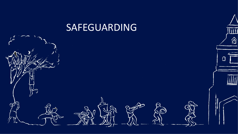#### SAFEGUARDING

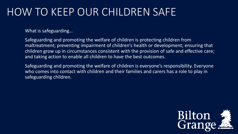### HOW TO KEEP OUR CHILDREN SAFE

What is safeguarding…

Safeguarding and promoting the welfare of children is protecting children from maltreatment; preventing impairment of children's health or development; ensuring that children grow up in circumstances consistent with the provision of safe and effective care; and taking action to enable all children to have the best outcomes.

Safeguarding and promoting the welfare of children is everyone's responsibility. Everyone who comes into contact with children and their families and carers has a role to play in safeguarding children.

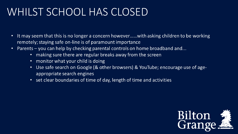### WHILST SCHOOL HAS CLOSED

- It may seem that this is no longer a concern however......with asking children to be working  $\bullet$ remotely; staying safe on-line is of paramount importance
- Parents you can help by checking parental controls on home broadband and...  $\bullet$ 
	- making sure there are regular breaks away from the screen
	- monitor what your child is doing
	- Use safe search on Google (& other browsers) & YouTube; encourage use of ageappropriate search engines
	- set clear boundaries of time of day, length of time and activities

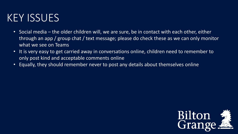# KEY ISSUES

- Social media the older children will, we are sure, be in contact with each other, either through an app / group chat / text message; please do check these as we can only monitor what we see on Teams
- It is very easy to get carried away in conversations online, children need to remember to only post kind and acceptable comments online
- Equally, they should remember never to post any details about themselves online

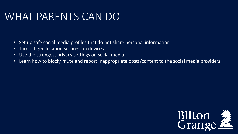# WHAT PARENTS CAN DO

- Set up safe social media profiles that do not share personal information
- Turn off geo location settings on devices
- Use the strongest privacy settings on social media
- Learn how to block/ mute and report inappropriate posts/content to the social media providers

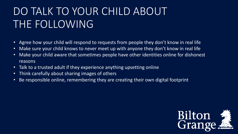# DO TALK TO YOUR CHILD ABOUT THE FOLLOWING

- Agree how your child will respond to requests from people they don't know in real life
- Make sure your child knows to never meet up with anyone they don't know in real life
- Make your child aware that sometimes people have other identities online for dishonest reasons
- Talk to a trusted adult if they experience anything upsetting online
- Think carefully about sharing images of others
- Be responsible online, remembering they are creating their own digital footprint

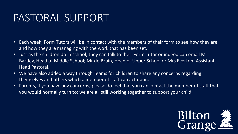### PASTORAL SUPPORT

- Each week, Form Tutors will be in contact with the members of their form to see how they are and how they are managing with the work that has been set.
- Just as the children do in school, they can talk to their Form Tutor or indeed can email Mr Bartley, Head of Middle School; Mr de Bruin, Head of Upper School or Mrs Everton, Assistant Head Pastoral.
- We have also added a way through Teams for children to share any concerns regarding themselves and others which a member of staff can act upon.
- Parents, if you have any concerns, please do feel that you can contact the member of staff that you would normally turn to; we are all still working together to support your child.

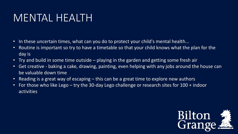# MENTAL HEALTH

- In these uncertain times, what can you do to protect your child's mental health...
- Routine is important so try to have a timetable so that your child knows what the plan for the day is
- Try and build in some time outside playing in the garden and getting some fresh air
- Get creative baking a cake, drawing, painting, even helping with any jobs around the house can be valuable down time
- Reading is a great way of escaping  $-$  this can be a great time to explore new authors
- For those who like Lego try the 30-day Lego challenge or research sites for 100 + indoor activities